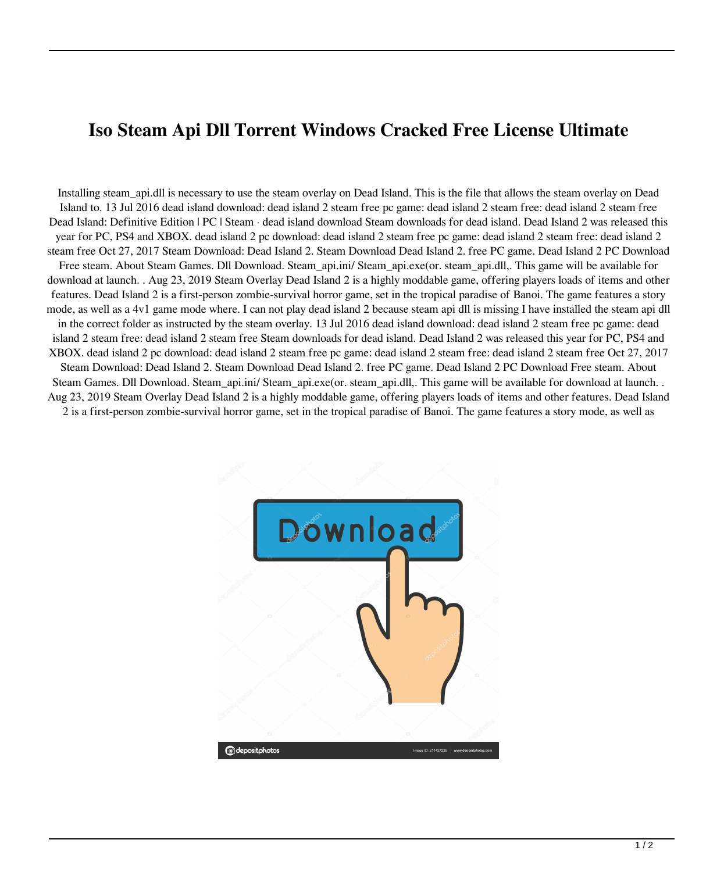## **Iso Steam Api Dll Torrent Windows Cracked Free License Ultimate**

Installing steam\_api.dll is necessary to use the steam overlay on Dead Island. This is the file that allows the steam overlay on Dead Island to. 13 Jul 2016 dead island download: dead island 2 steam free pc game: dead island 2 steam free: dead island 2 steam free Dead Island: Definitive Edition | PC | Steam · dead island download Steam downloads for dead island. Dead Island 2 was released this year for PC, PS4 and XBOX. dead island 2 pc download: dead island 2 steam free pc game: dead island 2 steam free: dead island 2 steam free Oct 27, 2017 Steam Download: Dead Island 2. Steam Download Dead Island 2. free PC game. Dead Island 2 PC Download Free steam. About Steam Games. Dll Download. Steam\_api.ini/ Steam\_api.exe(or. steam\_api.dll,. This game will be available for download at launch. . Aug 23, 2019 Steam Overlay Dead Island 2 is a highly moddable game, offering players loads of items and other features. Dead Island 2 is a first-person zombie-survival horror game, set in the tropical paradise of Banoi. The game features a story mode, as well as a 4v1 game mode where. I can not play dead island 2 because steam api dll is missing I have installed the steam api dll in the correct folder as instructed by the steam overlay. 13 Jul 2016 dead island download: dead island 2 steam free pc game: dead island 2 steam free: dead island 2 steam free Steam downloads for dead island. Dead Island 2 was released this year for PC, PS4 and XBOX. dead island 2 pc download: dead island 2 steam free pc game: dead island 2 steam free: dead island 2 steam free Oct 27, 2017 Steam Download: Dead Island 2. Steam Download Dead Island 2. free PC game. Dead Island 2 PC Download Free steam. About Steam Games. Dll Download. Steam\_api.ini/ Steam\_api.exe(or. steam\_api.dll,. This game will be available for download at launch. . Aug 23, 2019 Steam Overlay Dead Island 2 is a highly moddable game, offering players loads of items and other features. Dead Island 2 is a first-person zombie-survival horror game, set in the tropical paradise of Banoi. The game features a story mode, as well as